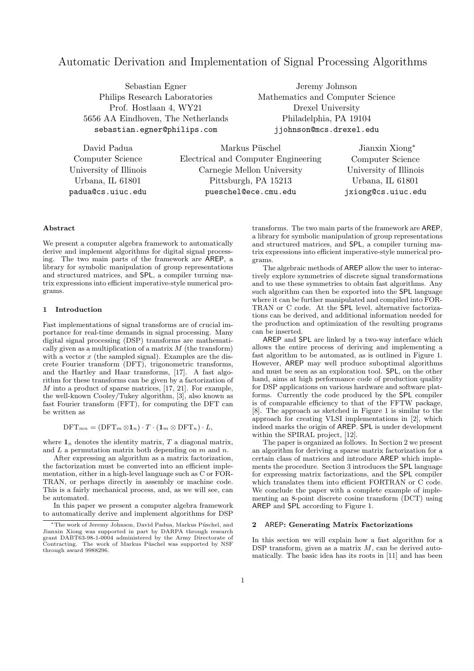# Automatic Derivation and Implementation of Signal Processing Algorithms

Sebastian Egner Philips Research Laboratories Prof. Hostlaan 4, WY21 5656 AA Eindhoven, The Netherlands sebastian.egner@philips.com

Jeremy Johnson Mathematics and Computer Science Drexel University Philadelphia, PA 19104 jjohnson@mcs.drexel.edu

David Padua Computer Science University of Illinois Urbana, IL 61801 padua@cs.uiuc.edu

Markus Püschel Electrical and Computer Engineering Carnegie Mellon University Pittsburgh, PA 15213 pueschel@ece.cmu.edu

Jianxin Xiong<sup>∗</sup> Computer Science University of Illinois Urbana, IL 61801 jxiong@cs.uiuc.edu

# Abstract

We present a computer algebra framework to automatically derive and implement algorithms for digital signal processing. The two main parts of the framework are AREP, a library for symbolic manipulation of group representations and structured matrices, and SPL, a compiler turning matrix expressions into efficient imperative-style numerical programs.

# 1 Introduction

Fast implementations of signal transforms are of crucial importance for real-time demands in signal processing. Many digital signal processing (DSP) transforms are mathematically given as a multiplication of a matrix  $M$  (the transform) with a vector  $x$  (the sampled signal). Examples are the discrete Fourier transform (DFT), trigonometric transforms, and the Hartley and Haar transforms, [17]. A fast algorithm for these transforms can be given by a factorization of M into a product of sparse matrices, [17, 21]. For example, the well-known Cooley/Tukey algorithm, [3], also known as fast Fourier transform (FFT), for computing the DFT can be written as

 $\text{DFT}_{mn} = (\text{DFT}_m \otimes \mathbf{1}_n) \cdot T \cdot (\mathbf{1}_m \otimes \text{DFT}_n) \cdot L,$ 

where  $\mathbf{1}_n$  denotes the identity matrix, T a diagonal matrix, and L a permutation matrix both depending on  $m$  and  $n$ .

After expressing an algorithm as a matrix factorization, the factorization must be converted into an efficient implementation, either in a high-level language such as C or FOR-TRAN, or perhaps directly in assembly or machine code. This is a fairly mechanical process, and, as we will see, can be automated.

In this paper we present a computer algebra framework to automatically derive and implement algorithms for DSP

transforms. The two main parts of the framework are AREP, a library for symbolic manipulation of group representations and structured matrices, and SPL, a compiler turning matrix expressions into efficient imperative-style numerical programs.

The algebraic methods of AREP allow the user to interactively explore symmetries of discrete signal transformations and to use these symmetries to obtain fast algorithms. Any such algorithm can then be exported into the SPL language where it can be further manipulated and compiled into FOR-TRAN or C code. At the SPL level, alternative factorizations can be derived, and additional information needed for the production and optimization of the resulting programs can be inserted.

AREP and SPL are linked by a two-way interface which allows the entire process of deriving and implementing a fast algorithm to be automated, as is outlined in Figure 1. However, AREP may well produce suboptimal algorithms and must be seen as an exploration tool. SPL, on the other hand, aims at high performance code of production quality for DSP applications on various hardware and software platforms. Currently the code produced by the SPL compiler is of comparable efficiency to that of the FFTW package, [8]. The approach as sketched in Figure 1 is similar to the approach for creating VLSI implementations in [2], which indeed marks the origin of AREP. SPL is under development within the SPIRAL project, [12].

The paper is organized as follows. In Section 2 we present an algorithm for deriving a sparse matrix factorization for a certain class of matrices and introduce AREP which implements the procedure. Section 3 introduces the SPL language for expressing matrix factorizations, and the SPL compiler which translates them into efficient FORTRAN or C code. We conclude the paper with a complete example of implementing an 8-point discrete cosine transform (DCT) using AREP and SPL according to Figure 1.

# 2 AREP: Generating Matrix Factorizations

In this section we will explain how a fast algorithm for a DSP transform, given as a matrix  $M$ , can be derived automatically. The basic idea has its roots in [11] and has been

<sup>\*</sup>The work of Jeremy Johnson, David Padua, Markus Püschel, and Jianxin Xiong was supported in part by DARPA through research grant DABT63-98-1-0004 administered by the Army Directorate of Contracting. The work of Markus Püschel was supported by NSF<br>through award 9988296.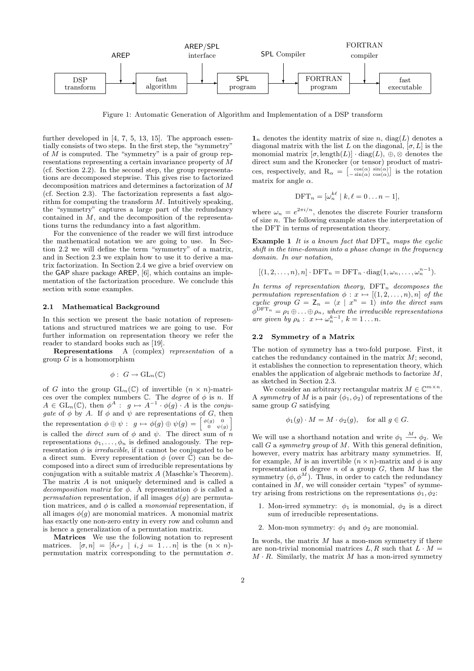

Figure 1: Automatic Generation of Algorithm and Implementation of a DSP transform

further developed in [4, 7, 5, 13, 15]. The approach essentially consists of two steps. In the first step, the "symmetry" of  $\overline{M}$  is computed. The "symmetry" is a pair of group representations representing a certain invariance property of  $\overline{M}$ (cf. Section 2.2). In the second step, the group representations are decomposed stepwise. This gives rise to factorized decomposition matrices and determines a factorization of M (cf. Section 2.3). The factorization represents a fast algorithm for computing the transform  $M$ . Intuitively speaking, the "symmetry" captures a large part of the redundancy contained in  $\tilde{M}$ , and the decomposition of the representations turns the redundancy into a fast algorithm.

For the convenience of the reader we will first introduce the mathematical notation we are going to use. In Section 2.2 we will define the term "symmetry" of a matrix, and in Section 2.3 we explain how to use it to derive a matrix factorization. In Section 2.4 we give a brief overview on the GAP share package AREP, [6], which contains an implementation of the factorization procedure. We conclude this section with some examples.

### 2.1 Mathematical Background

In this section we present the basic notation of representations and structured matrices we are going to use. For further information on representation theory we refer the reader to standard books such as [19].

Representations A (complex) representation of a group  $G$  is a homomorphism

$$
\phi: G \to GL_n(\mathbb{C})
$$

of G into the group  $GL_n(\mathbb{C})$  of invertible  $(n \times n)$ -matrices over the complex numbers  $\mathbb{C}$ . The *degree* of  $\phi$  is *n*. If  $A \in GL_n(\mathbb{C})$ , then  $\phi^A : g \mapsto A^{-1} \cdot \phi(g) \cdot A$  is the conjugate of  $\phi$  by A. If  $\phi$  and  $\psi$  are representations of G, then the representation  $\phi \oplus \psi : g \mapsto \phi(g) \oplus \psi(g) = \begin{bmatrix} \phi(g) & 0 \\ 0 & \psi(g) \end{bmatrix}$ is called the *direct sum* of  $\phi$  and  $\psi$ . The direct sum of n representations  $\phi_1, \ldots, \phi_n$  is defined analogously. The representation  $\phi$  is *irreducible*, if it cannot be conjugated to be a direct sum. Every representation  $\phi$  (over C) can be decomposed into a direct sum of irreducible representations by conjugation with a suitable matrix A (Maschke's Theorem). The matrix A is not uniquely determined and is called a decomposition matrix for  $\phi$ . A representation  $\phi$  is called a permutation representation, if all images  $\phi(g)$  are permutation matrices, and  $\phi$  is called a *monomial* representation, if all images  $\phi(g)$  are monomial matrices. A monomial matrix has exactly one non-zero entry in every row and column and is hence a generalization of a permutation matrix.

Matrices We use the following notation to represent matrices.  $[\sigma, n] = [\delta_{i \sigma_j} \mid i, j = 1 \dots n]$  is the  $(n \times n)$ permutation matrix corresponding to the permutation  $\sigma$ .

 $\mathbf{1}_n$  denotes the identity matrix of size n, diag(L) denotes a diagonal matrix with the list L on the diagonal,  $[\sigma, L]$  is the monomial matrix  $[\sigma, \text{length}(L)] \cdot \text{diag}(L)$ ,  $\oplus$ ,  $\otimes$  denotes the direct sum and the Kronecker (or tensor) product of matrices, respectively, and  $R_{\alpha} = \begin{bmatrix} \cos(\alpha) & \sin(\alpha) \\ -\sin(\alpha) & \cos(\alpha) \end{bmatrix}$  is the rotation matrix for angle  $\alpha$ .

$$
\text{DFT}_n = [\omega_n^{k\ell} \mid k,\ell = 0 \ldots n-1],
$$

where  $\omega_n = e^{2\pi i/n}$ , denotes the discrete Fourier transform of size  $n$ . The following example states the interpretation of the DFT in terms of representation theory.

**Example 1** It is a known fact that  $\text{DFT}_n$  maps the cyclic shift in the time-domain into a phase change in the frequency domain. In our notation,

$$
[(1,2,\ldots,n),n] \cdot \text{DFT}_n = \text{DFT}_n \cdot \text{diag}(1,\omega_n,\ldots,\omega_n^{n-1}).
$$

In terms of representation theory,  $DFT_n$  decomposes the permutation representation  $\phi: x \mapsto [(1, 2, \ldots, n), n]$  of the cyclic group  $G = Z_n = \langle x | x^n = 1 \rangle$  into the direct sum  $\phi^{\text{DFT}_{n}} = \rho_1 \oplus \ldots \oplus \rho_n$ , where the irreducible representations are given by  $\rho_k: x \mapsto \omega_n^{k-1}, k = 1 \dots n$ .

### 2.2 Symmetry of a Matrix

The notion of symmetry has a two-fold purpose. First, it catches the redundancy contained in the matrix  $M$ ; second, it establishes the connection to representation theory, which enables the application of algebraic methods to factorize M, as sketched in Section 2.3.

We consider an arbitrary rectangular matrix  $M \in \mathbb{C}^{m \times n}$ . A symmetry of M is a pair  $(\phi_1, \phi_2)$  of representations of the same group  $G$  satisfying

$$
\phi_1(g) \cdot M = M \cdot \phi_2(g), \quad \text{for all } g \in G.
$$

We will use a shorthand notation and write  $\phi_1 \stackrel{M}{\longrightarrow} \phi_2$ . We call G a symmetry group of M. With this general definition, however, every matrix has arbitrary many symmetries. If, for example, M is an invertible  $(n \times n)$ -matrix and  $\phi$  is any representation of degree  $n$  of a group  $G$ , then  $M$  has the symmetry  $(\phi, \phi^M)$ . Thus, in order to catch the redundancy contained in  $M$ , we will consider certain "types" of symmetry arising from restrictions on the representations  $\phi_1, \phi_2$ :

- 1. Mon-irred symmetry:  $\phi_1$  is monomial,  $\phi_2$  is a direct sum of irreducible representations.
- 2. Mon-mon symmetry:  $\phi_1$  and  $\phi_2$  are monomial.

In words, the matrix  $M$  has a mon-mon symmetry if there are non-trivial monomial matrices  $L, R$  such that  $L \cdot M =$  $M \cdot R$ . Similarly, the matrix M has a mon-irred symmetry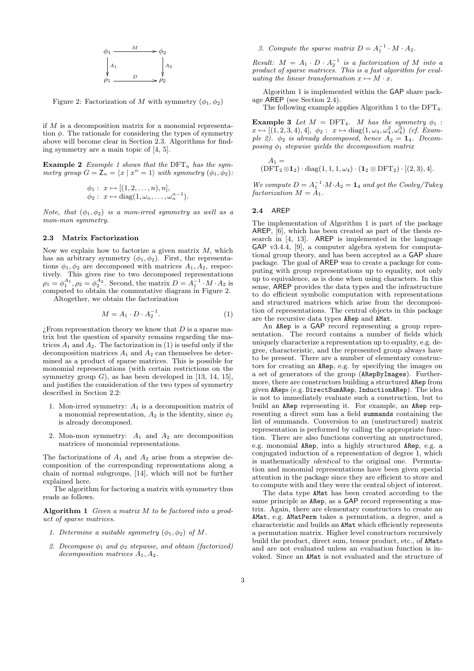

Figure 2: Factorization of M with symmetry  $(\phi_1, \phi_2)$ 

if M is a decomposition matrix for a monomial representation  $\phi$ . The rationale for considering the types of symmetry above will become clear in Section 2.3. Algorithms for finding symmetry are a main topic of [4, 5].

Example 2 Example 1 shows that the  $\text{DFT}_n$  has the symmetry group  $G = \mathsf{Z}_n = \langle x | x^n = 1 \rangle$  with symmetry  $(\phi_1, \phi_2)$ :

$$
\phi_1: x \mapsto [(1, 2, \dots, n), n], \phi_2: x \mapsto diag(1, \omega_n, \dots, \omega_n^{n-1}).
$$

Note, that  $(\phi_1, \phi_2)$  is a mon-irred symmetry as well as a mon-mon symmetry.

### 2.3 Matrix Factorization

Now we explain how to factorize a given matrix  $M$ , which has an arbitrary symmetry  $(\phi_1, \phi_2)$ . First, the representations  $\phi_1, \phi_2$  are decomposed with matrices  $A_1, A_2$ , respectively. This gives rise to two decomposed representations  $\rho_1 = \phi_1^{A_1}, \rho_2 = \phi_2^{A_2}$ . Second, the matrix  $D = A_1^{-1} \cdot M \cdot A_2$  is computed to obtain the commutative diagram in Figure 2.

Altogether, we obtain the factorization

$$
M = A_1 \cdot D \cdot A_2^{-1}.\tag{1}
$$

 $i$ From representation theory we know that D is a sparse matrix but the question of sparsity remains regarding the matrices  $A_1$  and  $A_2$ . The factorization in (1) is useful only if the decomposition matrices  $A_1$  and  $A_2$  can themselves be determined as a product of sparse matrices. This is possible for monomial representations (with certain restrictions on the symmetry group  $G$ ), as has been developed in [13, 14, 15], and justifies the consideration of the two types of symmetry described in Section 2.2:

- 1. Mon-irred symmetry:  $A_1$  is a decomposition matrix of a monomial representation,  $A_2$  is the identity, since  $\phi_2$ is already decomposed.
- 2. Mon-mon symmetry:  $A_1$  and  $A_2$  are decomposition matrices of monomial representations.

The factorizations of  $A_1$  and  $A_2$  arise from a stepwise decomposition of the corresponding representations along a chain of normal subgroups, [14], which will not be further explained here.

The algorithm for factoring a matrix with symmetry thus reads as follows.

Algorithm 1 Given a matrix  $M$  to be factored into a product of sparse matrices.

- 1. Determine a suitable symmetry  $(\phi_1, \phi_2)$  of M.
- 2. Decompose  $\phi_1$  and  $\phi_2$  stepwise, and obtain (factorized) decomposition matrices  $A_1, A_2$ .

3. Compute the sparse matrix  $D = A_1^{-1} \cdot M \cdot A_2$ .

Result:  $M = A_1 \cdot D \cdot A_2^{-1}$  is a factorization of M into a product of sparse matrices. This is a fast algorithm for evaluating the linear transformation  $x \mapsto M \cdot x$ .

Algorithm 1 is implemented within the GAP share package AREP (see Section 2.4).

The following example applies Algorithm 1 to the  $DFT<sub>4</sub>$ .

**Example 3** Let  $M = DFT_4$ . M has the symmetry  $\phi_1$ :  $x \mapsto [(\hat{1}, 2, 3, 4), 4], \phi_2 : x \mapsto \text{diag}(1, \omega_4, \omega_4^2, \omega_4^3)$  (cf. Example 2).  $\phi_2$  is already decomposed, hence  $A_2 = \mathbf{1}_4$ . Decomposing  $\phi_1$  stepwise yields the decomposition matrix

$$
A_1 =
$$
  
(DFT<sub>2</sub>  $\otimes$  1<sub>2</sub>) · diag(1, 1, 1,  $\omega_4$ ) · (1<sub>2</sub>  $\otimes$  DFT<sub>2</sub>) · [(2, 3), 4].

We compute  $D = A_1^{-1} \cdot M \cdot A_2 = \mathbf{1}_4$  and get the Cooley/Tukey factorization  $M = A_1$ .

# 2.4 AREP

The implementation of Algorithm 1 is part of the package AREP, [6], which has been created as part of the thesis research in [4, 13]. AREP is implemented in the language GAP v3.4.4, [9], a computer algebra system for computational group theory, and has been accepted as a GAP share package. The goal of AREP was to create a package for computing with group representations up to equality, not only up to equivalence, as is done when using characters. In this sense, AREP provides the data types and the infrastructure to do efficient symbolic computation with representations and structured matrices which arise from the decomposition of representations. The central objects in this package are the recursive data types ARep and AMat.

An ARep is a GAP record representing a group representation. The record contains a number of fields which uniquely characterize a representation up to equality, e.g. degree, characteristic, and the represented group always have to be present. There are a number of elementary constructors for creating an ARep, e.g. by specifying the images on a set of generators of the group (ARepByImages). Furthermore, there are constructors building a structured ARep from given AReps (e.g. DirectSumARep, InductionARep). The idea is not to immediately evaluate such a construction, but to build an ARep representing it. For example, an ARep representing a direct sum has a field summands containing the list of summands. Conversion to an (unstructured) matrix representation is performed by calling the appropriate function. There are also functions converting an unstructured, e.g. monomial ARep, into a highly structured ARep, e.g. a conjugated induction of a representation of degree 1, which is mathematically identical to the original one. Permutation and monomial representations have been given special attention in the package since they are efficient to store and to compute with and they were the central object of interest.

The data type AMat has been created according to the same principle as ARep, as a GAP record representing a matrix. Again, there are elementary constructors to create an AMat, e.g. AMatPerm takes a permutation, a degree, and a characteristic and builds an AMat which efficiently represents a permutation matrix. Higher level constructors recursively build the product, direct sum, tensor product, etc., of AMats and are not evaluated unless an evaluation function is invoked. Since an AMat is not evaluated and the structure of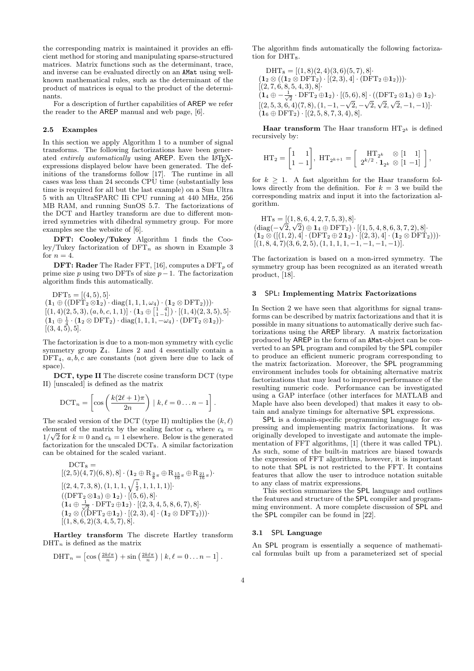the corresponding matrix is maintained it provides an efficient method for storing and manipulating sparse-structured matrices. Matrix functions such as the determinant, trace, and inverse can be evaluated directly on an AMat using wellknown mathematical rules, such as the determinant of the product of matrices is equal to the product of the determinants.

For a description of further capabilities of AREP we refer the reader to the AREP manual and web page, [6].

### 2.5 Examples

In this section we apply Algorithm 1 to a number of signal transforms. The following factorizations have been generated *entirely automatically* using AREP. Even the L<sup>AT</sup>FXexpressions displayed below have been generated. The definitions of the transforms follow [17]. The runtime in all cases was less than 24 seconds CPU time (substantially less time is required for all but the last example) on a Sun Ultra 5 with an UltraSPARC IIi CPU running at 440 MHz, 256 MB RAM, and running SunOS 5.7. The factorizations of the DCT and Hartley transform are due to different monirred symmetries with dihedral symmetry group. For more examples see the website of [6].

DFT: Cooley/Tukey Algorithm 1 finds the Cooley/Tukey factorization of  $DFT_n$  as shown in Example 3 for  $n = 4$ .

**DFT: Rader** The Rader FFT, [16], computes a  $DFT_p$  of prime size  $p$  using two DFTs of size  $p-1$ . The factorization algorithm finds this automatically.

 $DFT_5 = [(4, 5), 5]$  $(1_1 \oplus ((\mathrm{DFT}_2 \otimes 1_2) \cdot \mathrm{diag}(1, 1, 1, \omega_4) \cdot (1_2 \otimes \mathrm{DFT}_2)))$  $[(1,4)(2,5,3), (a, b, c, 1, 1)] \cdot (1_3 \oplus \begin{bmatrix} 1 & 4 \\ 1 & -1 \end{bmatrix}) \cdot [(1,4)(2,3,5),5].$  $(1_1 \oplus \frac{1}{4} \cdot (1_2 \otimes \mathrm{DFT}_2) \cdot \mathrm{diag}(1,1,1,-\omega_4) \cdot (\mathrm{DFT}_2 \otimes 1_2))$  $[(3, 4, 5), 5].$ 

The factorization is due to a mon-mon symmetry with cyclic symmetry group  $Z_4$ . Lines 2 and 4 essentially contain a  $DFT_4$ ,  $a, b, c$  are constants (not given here due to lack of space).

DCT, type II The discrete cosine transform DCT (type II) [unscaled] is defined as the matrix

$$
\mathrm{DCT}_n = \left[ \cos \left( \frac{k(2\ell+1)\pi}{2n} \right) \mid k, \ell = 0 \ldots n-1 \right].
$$

The scaled version of the DCT (type II) multiplies the  $(k, \ell)$ element of the matrix by the scaling factor  $c_k$  where  $c_k =$  $1/\sqrt{2}$  for  $k=0$  and  $c_k=1$  elsewhere. Below is the generated factorization for the unscaled DCT8. A similar factorization can be obtained for the scaled variant.

$$
DCT_8 = \n\begin{array}{l}\n[ (2,5)(4,7)(6,8), 8] \cdot (\mathbf{1}_2 \oplus R_{\frac{3}{8}\pi} \oplus R_{\frac{15}{16}\pi} \oplus R_{\frac{21}{16}\pi}) \cdot \\
[ (2,4,7,3,8), (1,1,1,\sqrt{\frac{1}{2}},1,1,1,1)] \cdot \\
[ (DFT_2 \otimes \mathbf{1}_3) \oplus \mathbf{1}_2) \cdot [(5,6), 8] \cdot \\
[ (1_4 \oplus \frac{1}{\sqrt{2}} \cdot DFT_2 \oplus \mathbf{1}_2) \cdot [(2,3,4,5,8,6,7), 8] \cdot \\
[ (1_2 \otimes ((DFT_2 \oplus \mathbf{1}_2) \cdot [(2,3), 4] \cdot (\mathbf{1}_2 \otimes DFT_2))) \cdot \\
[ (1,8,6,2)(3,4,5,7), 8]\n\end{array}
$$

Hartley transform The discrete Hartley transform  $\text{DHT}_n$  is defined as the matrix

$$
\text{DHT}_n = \left[ \cos \left( \frac{2k \ell \pi}{n} \right) + \sin \left( \frac{2k \ell \pi}{n} \right) \mid k, \ell = 0 \dots n - 1 \right].
$$

The algorithm finds automatically the following factorization for DHT<sub>8</sub>.

$$
DHT_8 = [(1, 8)(2, 4)(3, 6)(5, 7), 8] \cdot
$$
  
( $\mathbf{1}_2 \otimes ((\mathbf{1}_2 \otimes DFT_2) \cdot [(2, 3), 4] \cdot (DFT_2 \oplus \mathbf{1}_2))) \cdot$   
[(2, 7, 6, 8, 5, 4, 3), 8] \cdot  
( $\mathbf{1}_4 \oplus -\frac{1}{\sqrt{2}} \cdot DFT_2 \oplus \mathbf{1}_2) \cdot [(5, 6), 8] \cdot ((DFT_2 \otimes \mathbf{1}_3) \oplus \mathbf{1}_2) \cdot$   
[(2, 5, 3, 6, 4)(7, 8), (1, -1, - $\sqrt{2}$ , - $\sqrt{2}$ ,  $\sqrt{2}$ ,  $\sqrt{2}$ , -1, -1)]  
( $\mathbf{1}_6 \oplus DFT_2) \cdot [(2, 5, 8, 7, 3, 4), 8].$ 

**Haar transform** The Haar transform  $HT_{2^k}$  is defined recursively by:

$$
\mathrm{HT}_2 = \begin{bmatrix} 1 & 1 \\ 1 & -1 \end{bmatrix}, \ \mathrm{HT}_{2^{k+1}} = \begin{bmatrix} \mathrm{HT}_{2^k} & \otimes \begin{bmatrix} 1 & 1 \end{bmatrix} \\ 2^{k/2} \cdot \mathbf{1}_{2^k} & \otimes \begin{bmatrix} 1 & -1 \end{bmatrix} \end{bmatrix},
$$

for  $k \geq 1$ . A fast algorithm for the Haar transform follows directly from the definition. For  $k = 3$  we build the corresponding matrix and input it into the factorization algorithm.

 $HT_8 = \frac{[(1, 8, 6, 4, 2, 7, 5, 3), 8]}{5}$  $(\text{diag}(-\sqrt{2}, \sqrt{2}) \oplus \mathbf{1}_4 \oplus \text{DFT}_2) \cdot [(1, 5, 4, 8, 6, 3, 7, 2), 8]$  $(1_2 \otimes ([(1,2),4] \cdot (DFT_2 \oplus 21_2) \cdot [(2,3),4] \cdot (1_2 \otimes DFT_2))$ .  $[(1, 8, 4, 7)(3, 6, 2, 5), (1, 1, 1, 1, -1, -1, -1, -1)].$ 

The factorization is based on a mon-irred symmetry. The symmetry group has been recognized as an iterated wreath product, [18].

# 3 SPL: Implementing Matrix Factorizations

In Section 2 we have seen that algorithms for signal transforms can be described by matrix factorizations and that it is possible in many situations to automatically derive such factorizations using the AREP library. A matrix factorization produced by AREP in the form of an AMat-object can be converted to an SPL program and compiled by the SPL compiler to produce an efficient numeric program corresponding to the matrix factorization. Moreover, the SPL programming environment includes tools for obtaining alternative matrix factorizations that may lead to improved performance of the resulting numeric code. Performance can be investigated using a GAP interface (other interfaces for MATLAB and Maple have also been developed) that makes it easy to obtain and analyze timings for alternative SPL expressions.

SPL is a domain-specific programming language for expressing and implementing matrix factorizations. It was originally developed to investigate and automate the implementation of FFT algorithms, [1] (there it was called TPL). As such, some of the built-in matrices are biased towards the expression of FFT algorithms, however, it is important to note that SPL is not restricted to the FFT. It contains features that allow the user to introduce notation suitable to any class of matrix expressions.

This section summarizes the SPL language and outlines the features and structure of the SPL compiler and programming environment. A more complete discussion of SPL and the SPL compiler can be found in [22].

### 3.1 SPL Language

An SPL program is essentially a sequence of mathematical formulas built up from a parameterized set of special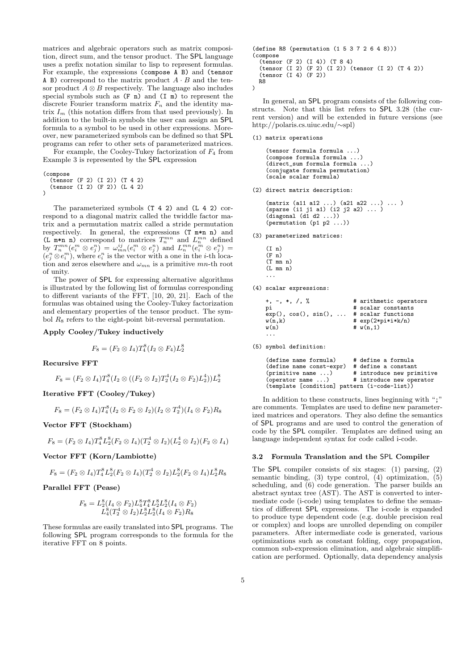matrices and algebraic operators such as matrix composition, direct sum, and the tensor product. The SPL language uses a prefix notation similar to lisp to represent formulas. For example, the expressions (compose A B) and (tensor A B) correspond to the matrix product  $A \cdot B$  and the tensor product  $A \otimes B$  respectively. The language also includes special symbols such as  $(F n)$  and  $(I n)$  to represent the discrete Fourier transform matrix  $F_n$  and the identity matrix  $I_m$  (this notation differs from that used previously). In addition to the built-in symbols the user can assign an SPL formula to a symbol to be used in other expressions. Moreover, new parameterized symbols can be defined so that SPL programs can refer to other sets of parameterized matrices.

For example, the Cooley-Tukey factorization of  $F_4$  from Example 3 is represented by the SPL expression

```
(compose
  (tensor (F 2) (I 2)) (T 4 2)
  (tensor (I 2) (F 2)) (L 4 2)
)
```
The parameterized symbols (T 4 2) and (L 4 2) correspond to a diagonal matrix called the twiddle factor matrix and a permutation matrix called a stride permutation respectively. In general, the expressions (T m\*n n) and (L m\*n n) correspond to matrices  $T_n^{mn}$  and  $L_n^{mn}$  defined by  $T_n^{mn}(e_i^m \otimes e_j^n) = \omega_{mn}^{ij}(e_i^m \otimes e_j^n)$  and  $L_n^{mn}(e_i^m \otimes e_j^n) =$  $(e_j^n \otimes e_i^m)$ , where  $e_i^n$  is the vector with a one in the *i*-th location and zeros elsewhere and  $\omega_{mn}$  is a primitive mn-th root of unity.

The power of SPL for expressing alternative algorithms is illustrated by the following list of formulas corresponding to different variants of the FFT, [10, 20, 21]. Each of the formulas was obtained using the Cooley-Tukey factorization and elementary properties of the tensor product. The symbol  $R_8$  refers to the eight-point bit-reversal permutation.

Apply Cooley/Tukey inductively

$$
F_8 = (F_2 \otimes I_4) T_4^8 (I_2 \otimes F_4) L_2^8
$$

Recursive FFT

$$
F_8 = (F_2 \otimes I_4) T_4^8 (I_2 \otimes ((F_2 \otimes I_2) T_2^4 (I_2 \otimes F_2) L_2^4)) L_2^8
$$

Iterative FFT (Cooley/Tukey)

$$
F_8 = (F_2 \otimes I_4)T_4^8(I_2 \otimes F_2 \otimes I_2)(I_2 \otimes T_2^4)(I_4 \otimes F_2)R_8
$$

Vector FFT (Stockham)

$$
F_8 = (F_2 \otimes I_4) T_4^8 L_2^8 (F_2 \otimes I_4) (T_2^4 \otimes I_2) (L_2^4 \otimes I_2) (F_2 \otimes I_4)
$$

Vector FFT (Korn/Lambiotte)

$$
F_8=(F_2\otimes I_4)T_4^8L_2^8(F_2\otimes I_4)(T_2^4\otimes I_2)L_2^8(F_2\otimes I_4)L_2^8R_8
$$

Parallel FFT (Pease)

$$
F_8 = L_2^8(I_4 \otimes F_2)L_4^8T_4^8L_2^8L_2^8(I_4 \otimes F_2) L_4^8(T_2^4 \otimes I_2)L_2^8L_2^8(I_4 \otimes F_2)R_8
$$

These formulas are easily translated into SPL programs. The following SPL program corresponds to the formula for the iterative FFT on 8 points.

```
(define R8 (permutation (1 5 3 7 2 6 4 8)))
(compose
  (tensor (F 2) (I 4)) (T 8 4)
  (tensor (I 2) (F 2) (I 2)) (tensor (I 2) (T 4 2))
  (tensor (I 4) (F 2))
 R8
)
```
In general, an SPL program consists of the following constructs. Note that this list refers to SPL 3.28 (the current version) and will be extended in future versions (see http://polaris.cs.uiuc.edu/∼spl)

#### (1) matrix operations

```
(tensor formula formula ...)
(compose formula formula ...)
(direct_sum formula formula ...)
(conjugate formula permutation)
(scale scalar formula)
```
(2) direct matrix description:

```
(matrix (a11 a12 ...) (a21 a22 ...) ... )
(sparse (i1 j1 a1) (i2 j2 a2) ... )
(diagonal (d1 d2 ...))
(permutation (p1 p2 ...))
```
- (3) parameterized matrices:
	- $(I n)$  $(F n)$ (T mn n)  $(L \text{mn } n)$ ...
- (4) scalar expressions:

| $+, -, *, /, %$      | # arithmetic operators |
|----------------------|------------------------|
| рi                   | # scalar constants     |
| exp(), cos(), sin(), | # scalar functions     |
| w(n,k)               | $# exp(2*pi*ik/n)$     |
| w(n)                 | # $w(n, 1)$            |

(5) symbol definition:

...

| (define name formula)                        | # define a formula        |
|----------------------------------------------|---------------------------|
| (define name const-expr)                     | # define a constant       |
| (primitive name )                            | # introduce new primitive |
| (openator name )                             | # introduce new operator  |
| (template [condition] pattern (i-code-list)) |                           |

In addition to these constructs, lines beginning with ";" are comments. Templates are used to define new parameterized matrices and operators. They also define the semantics of SPL programs and are used to control the generation of code by the SPL compiler. Templates are defined using an language independent syntax for code called i-code.

# 3.2 Formula Translation and the SPL Compiler

The SPL compiler consists of six stages: (1) parsing, (2) semantic binding, (3) type control, (4) optimization, (5) scheduling, and (6) code generation. The parser builds an abstract syntax tree (AST). The AST is converted to intermediate code (i-code) using templates to define the semantics of different SPL expressions. The i-code is expanded to produce type dependent code (e.g. double precision real or complex) and loops are unrolled depending on compiler parameters. After intermediate code is generated, various optimizations such as constant folding, copy propagation, common sub-expression elimination, and algebraic simplification are performed. Optionally, data dependency analysis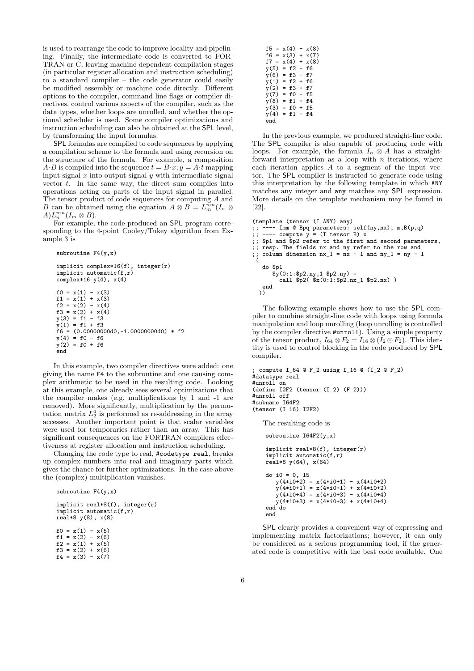is used to rearrange the code to improve locality and pipelining. Finally, the intermediate code is converted to FOR-TRAN or C, leaving machine dependent compilation stages (in particular register allocation and instruction scheduling) to a standard compiler – the code generator could easily be modified assembly or machine code directly. Different options to the compiler, command line flags or compiler directives, control various aspects of the compiler, such as the data types, whether loops are unrolled, and whether the optional scheduler is used. Some compiler optimizations and instruction scheduling can also be obtained at the SPL level, by transforming the input formulas.

SPL formulas are compiled to code sequences by applying a compilation scheme to the formula and using recursion on the structure of the formula. For example, a composition  $A \cdot B$  is compiled into the sequence  $t = B \cdot x$ ;  $y = A \cdot t$  mapping input signal  $x$  into output signal  $y$  with intermediate signal vector  $t$ . In the same way, the direct sum compiles into operations acting on parts of the input signal in parallel. The tensor product of code sequences for computing A and B can be obtained using the equation  $A \otimes B = L_m^{mn}(I_n \otimes$  $A) L_n^{mn}(I_m \otimes B).$ 

For example, the code produced an SPL program corresponding to the 4-point Cooley/Tukey algorithm from Example 3 is

```
subroutine F4(y,x)
```

```
implicit complex*16(f), integer(r)
implicit automatic(f,r)
complex*16 y(4), x(4)f0 = x(1) - x(3)f1 = x(1) + x(3)f2 = x(2) - x(4)f3 = x(2) + x(4)y(3) = f1 - f3y(1) = f1 + f3
f6 = (0.00000000d0,-1.00000000d0) * f2
y(4) = f0 - f6y(2) = f0 + f6end
```
In this example, two compiler directives were added: one giving the name F4 to the subroutine and one causing complex arithmetic to be used in the resulting code. Looking at this example, one already sees several optimizations that the compiler makes (e.g. multiplications by 1 and -1 are removed). More significantly, multiplication by the permutation matrix  $L_2^4$  is performed as re-addressing in the array accesses. Another important point is that scalar variables were used for temporaries rather than an array. This has significant consequences on the FORTRAN compilers effectiveness at register allocation and instruction scheduling.

Changing the code type to real, #codetype real, breaks up complex numbers into real and imaginary parts which gives the chance for further optimizations. In the case above the (complex) multiplication vanishes.

```
subroutine F4(y,x)
```

```
implicit real*8(f), integer(r)
implicit automatic(f,r)
real*8 y(8), x(8)
f0 = x(1) - x(5)f1 = x(2) - x(6)f2 = x(1) + x(5)f3 = x(2) + x(6)f4 = x(3) - x(7)
```

|            |   | $f5 = x(4) - x(8)$ |  |
|------------|---|--------------------|--|
| $f6 =$     |   | $x(3) + x(7)$      |  |
| f7<br>- 11 |   | $x(4) + x(8)$      |  |
| y(5)       |   | $= f2 - f6$        |  |
| v(6)       |   | $= f3 - f7$        |  |
| y(1)       |   | = f2 + f6          |  |
| v(2)       |   | $= f3 + f7$        |  |
| y(7)       |   | = f0 - f5          |  |
| y(8)       | = | $f1 + f4$          |  |
| y(3)       |   | = f0 + f5          |  |
| v(4)       |   | = f1 - f4          |  |
| end        |   |                    |  |

In the previous example, we produced straight-line code. The **SPL** compiler is also capable of producing code with loops. For example, the formula  $I_n \otimes A$  has a straightforward interpretation as a loop with  $n$  iterations, where each iteration applies A to a segment of the input vector. The SPL compiler is instructed to generate code using this interpretation by the following template in which ANY matches any integer and any matches any SPL expression. More details on the template mechanism may be found in [22].

```
(template (tensor (I ANY) any)
;; ---- Imm @ Bpq parameters: self(ny,nx), m,B(p,q)
;; ---- compute y = (I tensor B) x
;; $p1 and $p2 refer to the first and second parameters,
;; resp. The fields nx and ny refer to the row and
;; column dimension nx_1 = nx - 1 and ny_1 = ny - 1\epsilondo $p1
      \hat{y}(0:1:\$p2.ny_1 \$p2.ny) =call \frac{1}{2}p2(\frac{1}{3}x(0:1:\frac{2}{3}p2.nx_1 \cdot \frac{2}{3}p2.nx))end
  ))
```
The following example shows how to use the SPL compiler to combine straight-line code with loops using formula manipulation and loop unrolling (loop unrolling is controlled by the compiler directive #unroll). Using a simple property of the tensor product,  $I_{64} \otimes F_2 = I_{16} \otimes (I_2 \otimes F_2)$ . This identity is used to control blocking in the code produced by SPL compiler.

```
; compute I_64 @ F_2 using I_16 @ (I_2 @ F_2)
#datatype real
#unroll on
(define I2F2 (tensor (I 2) (F 2)))
#unroll off
#subname I64F2
(tensor (I 16) I2F2)
   The resulting code is
```
subroutine  $I64F2(y,x)$ 

```
implicit real*8(f), integer(r)
implicit automatic(f,r)
real*8 y(64), x(64)
do i0 = 0, 15
   y(4*i0+2) = x(4*i0+1) - x(4*i0+2)
   y(4*10+1) = x(4*10+1) + x(4*10+2)y(4*10+4) = x(4*10+3) - x(4*10+4)y(4+i0+3) = x(4+i0+3) + x(4+i0+4)end do
end
```
SPL clearly provides a convenient way of expressing and implementing matrix factorizations; however, it can only be considered as a serious programming tool, if the generated code is competitive with the best code available. One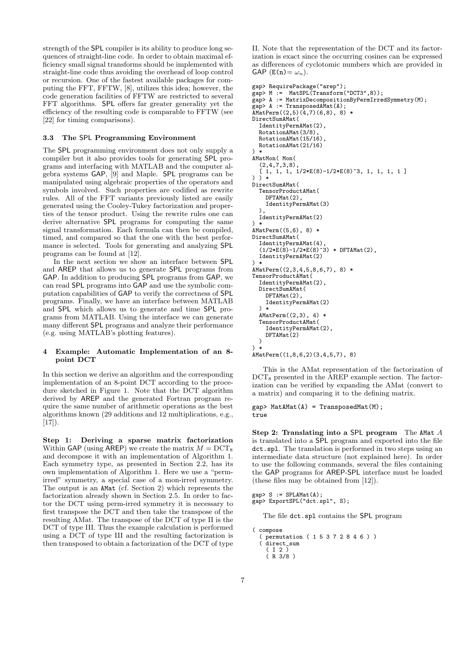strength of the SPL compiler is its ability to produce long sequences of straight-line code. In order to obtain maximal efficiency small signal transforms should be implemented with straight-line code thus avoiding the overhead of loop control or recursion. One of the fastest available packages for computing the FFT, FFTW, [8], utilizes this idea; however, the code generation facilities of FFTW are restricted to several FFT algorithms. SPL offers far greater generality yet the efficiency of the resulting code is comparable to FFTW (see [22] for timing comparisons).

### 3.3 The SPL Programming Environment

The SPL programming environment does not only supply a compiler but it also provides tools for generating SPL programs and interfacing with MATLAB and the computer algebra systems GAP, [9] and Maple. SPL programs can be manipulated using algebraic properties of the operators and symbols involved. Such properties are codified as rewrite rules. All of the FFT variants previously listed are easily generated using the Cooley-Tukey factorization and properties of the tensor product. Using the rewrite rules one can derive alternative SPL programs for computing the same signal transformation. Each formula can then be compiled, timed, and compared so that the one with the best performance is selected. Tools for generating and analyzing SPL programs can be found at [12].

In the next section we show an interface between SPL and AREP that allows us to generate SPL programs from GAP. In addition to producing SPL programs from GAP, we can read SPL programs into GAP and use the symbolic computation capabilities of GAP to verify the correctness of SPL programs. Finally, we have an interface between MATLAB and SPL which allows us to generate and time SPL programs from MATLAB. Using the interface we can generate many different SPL programs and analyze their performance (e.g. using MATLAB's plotting features).

# 4 Example: Automatic Implementation of an 8 point DCT

In this section we derive an algorithm and the corresponding implementation of an 8-point DCT according to the procedure sketched in Figure 1. Note that the DCT algorithm derived by AREP and the generated Fortran program require the same number of arithmetic operations as the best algorithms known (29 additions and 12 multiplications, e.g.,  $[17]$ .

Step 1: Deriving a sparse matrix factorization Within GAP (using AREP) we create the matrix  $M = DCT_8$ and decompose it with an implementation of Algorithm 1. Each symmetry type, as presented in Section 2.2, has its own implementation of Algorithm 1. Here we use a "permirred" symmetry, a special case of a mon-irred symmetry. The output is an AMat (cf. Section 2) which represents the factorization already shown in Section 2.5. In order to factor the DCT using perm-irred symmetry it is necessary to first transpose the DCT and then take the transpose of the resulting AMat. The transpose of the DCT of type II is the DCT of type III. Thus the example calculation is performed using a DCT of type III and the resulting factorization is then transposed to obtain a factorization of the DCT of type II. Note that the representation of the DCT and its factorization is exact since the occurring cosines can be expressed as differences of cyclotomic numbers which are provided in GAP  $(E(n) = \omega_n)$ .

```
gap> RequirePackage("arep");
gap> M := MatSPL(Transform("DCT3",8));
gap> A := MatrixDecompositionByPermIrredSymmetry(M);
gap> A := TransposedAMat(A);
AMatPerm((2,5)(4,7)(6,8), 8) *
DirectSumAMat(
  IdentityPermAMat(2),
  RotationAMat(3/8),
  RotationAMat(15/16),
  RotationAMat(21/16)
) *
AMatMon( Mon(
  (2,4,7,3,8)[ 1, 1, 1, 1/2*E(8)-1/2*E(8)^3, 1, 1, 1, 1 ]) ) *
DirectSumAMat(
  TensorProductAMat(
    DFTAMat(2),
    IdentityPermAMat(3)
  ),
  IdentityPermAMat(2)
\lambdaAMatPerm((5,6), 8) *
DirectSumAMat(
  IdentityPermAMat(4),
  (1/2*E(8)-1/2*E(8)^3) * DFTAMat(2),
  IdentityPermAMat(2)
) *
AMatPerm((2,3,4,5,8,6,7), 8) *
TensorProductAMat(
  IdentityPermAMat(2),
  DirectSumAMat(
    DFTAMat(2),
    IdentityPermAMat(2)
  \lambdaAMatPerm((2,3), 4) *
  TensorProductAMat(
    IdentityPermAMat(2),
    DFTAMat<sup>(2)</sup>
  )
\lambdaAMatPerm((1,8,6,2)(3,4,5,7), 8)
```
This is the AMat representation of the factorization of  $DCT_8$  presented in the AREP example section. The factorization can be verified by expanding the AMat (convert to a matrix) and comparing it to the defining matrix.

 $gap$  MatAMat $(A)$  = TransposedMat $(M)$ ; true

Step 2: Translating into a SPL program The AMat A is translated into a SPL program and exported into the file dct.spl. The translation is performed in two steps using an intermediate data structure (not explained here). In order to use the following commands, several the files containing the GAP programs for AREP-SPL interface must be loaded (these files may be obtained from [12]).

```
gap > S := SPLAMat(A);gap> ExportSPL("dct.spl", S);
```
The file dct.spl contains the SPL program

```
( compose
  ( permutation ( 1 5 3 7 2 8 4 6 ) )
   direct_sum
    ( I 2 )
    ( R 3/8 )
```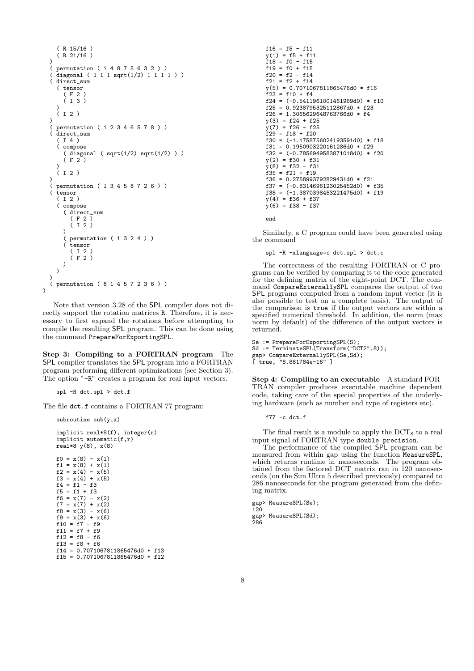```
( R 15/16 )
   ( R 21/16 )
)<br>(
( permutation ( 1 4 8 7 5 6 3 2 ) )<br>( diagonal ( 1 1 1 sqrt(1/2) 1 1 1
( diagonal ( 1 1 1 sqrt(1/2) 1 1 1 1 ) )<br>( direct sum
  direct_sum
  ( tensor
     ( F 2 )
     ( I 3 )
  )
   (12)\begin{pmatrix} 1 \\ 1 \end{pmatrix}( permutation ( 1 2 3 4 6 5 7 8 ) )
  direct sum
   ( I 4 )
   ( compose
     ( diagonal ( sqrt(1/2) sqrt(1/2) ) )
     (F<sub>2</sub>))
  (12)\lambda( permutation ( 1 3 4 5 8 7 2 6 ) )
( tensor
  ( I 2 )
  ( compose
     ( direct_sum
        ( F 2 )
        ( I 2 )
     \binom{)}{}permutation ( 1 3 2 4 ) )
     ( tensor
        (12)(F<sub>2</sub>))
 \lambda)
( permutation ( 8 1 4 5 7 2 3 6 ) )
```
Note that version 3.28 of the SPL compiler does not directly support the rotation matrices R. Therefore, it is necessary to first expand the rotations before attempting to compile the resulting SPL program. This can be done using the command PrepareForExportingSPL.

Step 3: Compiling to a FORTRAN program The SPL compiler translates the SPL program into a FORTRAN program performing different optimizations (see Section 3). The option "-R" creates a program for real input vectors.

spl -R dct.spl > dct.f

subroutine  $sub(y,x)$ 

 $\lambda$ 

The file  $\texttt{dct.f}$  contains a FORTRAN 77 program:

implicit real\*8(f), integer(r) implicit automatic(f,r) real\*8 y(8), x(8)  $f0 = x(8) - x(1)$  $f1 = x(8) + x(1)$  $f2 = x(4) - x(5)$  $f3 = x(4) + x(5)$  $f4 = f1 - f3$  $f5 = f1 + f3$ f6 =  $x(7) - x(2)$  $f7 = x(7) + x(2)$  $f8 = x(3) - x(6)$  $f9 = x(3) + x(6)$ f10 =  $f7 - f9$  $f11 = f7 + f9$  $f12 = f8 - f6$  $f13 = f8 + f6$ f14 = 0.7071067811865476d0 \* f13 f15 = 0.7071067811865476d0 \* f12

```
f16 = f5 - f11y(1) = f5 + f11f18 = f0 - f15f19 = f0 + f15f20 = f2 - f14f21 = f2 + f14y(5) = 0.7071067811865476d0 * f16f23 = f10 + f4f24 = (-0.5411961001461969d0) * f10f25 = 0.9238795325112867d0 * f23
f26 = 1.3065629648763766d0 * f4y(3) = f24 + f25
y(7) = f26 - f25
f29 = f18 + f20f30 = (-1.1758756024193591d0) * f18
f31 = 0.1950903220161286d0 * f29f32 = (-0.7856949583871018d0) * f20
y(2) = f30 + f31y(8) = f32 - f31f35 = f21 + f19f36 = 0.2758993792829431d0 * f21f37 = (-0.8314696123025452d0) * f35
f38 = (-1.3870398453221475d0) * f19
y(4) = f36 + f37y(6) = f38 - f37
```
end

Similarly, a C program could have been generated using the command

spl -R -xlanguage=c dct.spl > dct.c

The correctness of the resulting FORTRAN or C programs can be verified by comparing it to the code generated for the defining matrix of the eight-point DCT. The command CompareExternallySPL compares the output of two SPL programs computed from a random input vector (it is also possible to test on a complete basis). The output of the comparison is true if the output vectors are within a specified numerical threshold. In addition, the norm (max norm by default) of the difference of the output vectors is returned.

```
Se := PrepareForExportingSPL(S);
Sd := TerminateSPL(Transform("DCT2",8));
gap> CompareExternallySPL(Se,Sd);
[ true, "8.881784e-16" ]
```
Step 4: Compiling to an executable A standard FOR-TRAN compiler produces executable machine dependent code, taking care of the special properties of the underlying hardware (such as number and type of registers etc).

f77 $-c$  dct.f

The final result is a module to apply the  $DCT_8$  to a real input signal of FORTRAN type double precision.

The performance of the compiled SPL program can be measured from within gap using the function MeasureSPL, which returns runtime in nanoseconds. The program obtained from the factored DCT matrix ran in 120 nanoseconds (on the Sun Ultra 5 described previously) compared to 286 nanoseconds for the program generated from the defining matrix.

```
gap> MeasureSPL(Se);
120
gap> MeasureSPL(Sd);
286
```